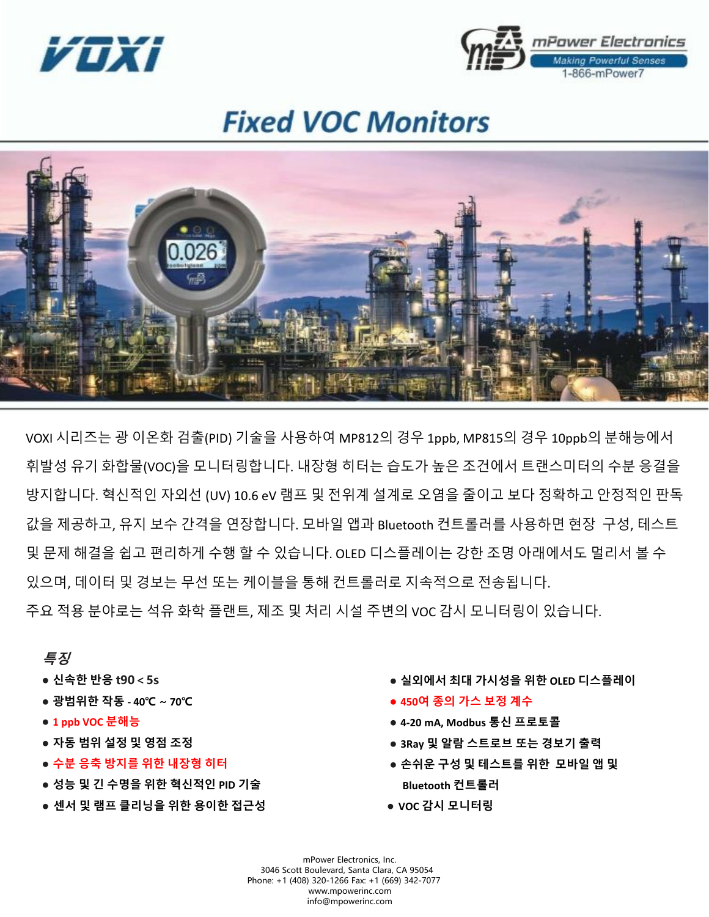



## **Fixed VOC Monitors**



VOXI 시리즈는 광 이온화 검출(PID) 기술을 사용하여 MP812의 경우 1ppb, MP815의 경우 10ppb의 분해능에서 휘발성 유기 화합물(VOC)을 모니터링합니다. 내장형 히터는 습도가 높은 조건에서 트랜스미터의 수분 응결을 방지합니다. 혁신적인 자외선 (UV) 10.6 eV 램프 및 전위계 설계로 오염을 줄이고 보다 정확하고 안정적인 판독 값을 제공하고, 유지 보수 간격을 연장합니다. 모바일 앱과 Bluetooth 컨트롤러를 사용하면 현장 구성, 테스트 및 문제 해결을 쉽고 편리하게 수행 할 수 있습니다. OLED 디스플레이는 강한 조명 아래에서도 멀리서 볼 수 있으며, 데이터 및 경보는 무선 또는 케이블을 통해 컨트롤러로 지속적으로 전송됩니다. 주요 적용 분야로는 석유 화학 플랜트, 제조 및 처리 시설 주변의 VOC 감시 모니터링이 있습니다.

## 특징

- **●** 신속한 반응 **t90<5s**
- **●** 광범위한 작동 **- 40**℃ ∼ **70**℃
- **● 1 ppb VOC** 분해능
- **●** 자동 범위 설정 및 영점 조정
- **●** 수분 응축 방지를 위한 내장형 히터
- **●** 성능 및 긴 수명을 위한 혁신적인 **PID** 기술
- **●** 센서 및 램프 클리닝을 위한 용이한 접근성
- **●** 실외에서 최대 가시성을 위한 **OLED** 디스플레이
- **● 450**여 종의 가스 보정 계수
- **● 4-20 mA, Modbus** 통신 프로토콜
- **● 3Ray** 및 알람 스트로브 또는 경보기 출력
- **●** 손쉬운 구성 및 테스트를 위한 모바일 앱 및 **Bluetooth** 컨트롤러
- **● VOC** 감시 모니터링

Phone: +1 (408) 320-1266 Fax: +1 (669) 342-7077 mPower Electronics, Inc. 3046 Scott Boulevard, Santa Clara, CA 95054 www.mpowerinc.com info@mpowerinc.com